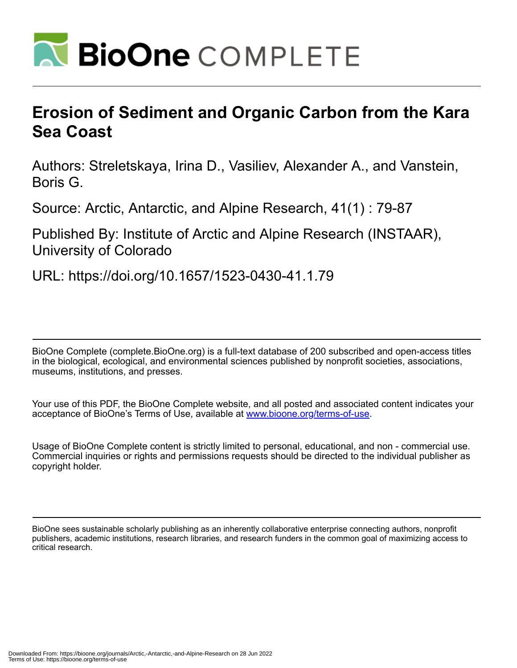

# **Erosion of Sediment and Organic Carbon from the Kara Sea Coast**

Authors: Streletskaya, Irina D., Vasiliev, Alexander A., and Vanstein, Boris G.

Source: Arctic, Antarctic, and Alpine Research, 41(1) : 79-87

Published By: Institute of Arctic and Alpine Research (INSTAAR), University of Colorado

URL: https://doi.org/10.1657/1523-0430-41.1.79

BioOne Complete (complete.BioOne.org) is a full-text database of 200 subscribed and open-access titles in the biological, ecological, and environmental sciences published by nonprofit societies, associations, museums, institutions, and presses.

Your use of this PDF, the BioOne Complete website, and all posted and associated content indicates your acceptance of BioOne's Terms of Use, available at www.bioone.org/terms-of-use.

Usage of BioOne Complete content is strictly limited to personal, educational, and non - commercial use. Commercial inquiries or rights and permissions requests should be directed to the individual publisher as copyright holder.

BioOne sees sustainable scholarly publishing as an inherently collaborative enterprise connecting authors, nonprofit publishers, academic institutions, research libraries, and research funders in the common goal of maximizing access to critical research.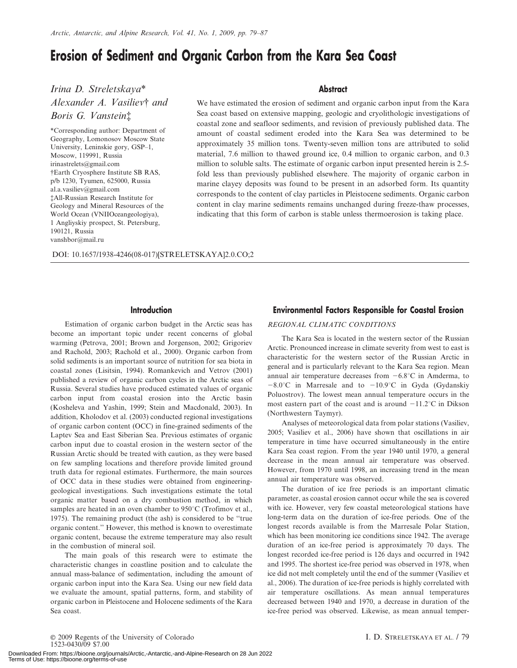# Erosion of Sediment and Organic Carbon from the Kara Sea Coast

Irina D. Streletskaya\* Alexander A. Vasiliev† and Boris G. Vanstein<sup>†</sup>

\*Corresponding author: Department of Geography, Lomonosov Moscow State University, Leninskie gory, GSP–1, Moscow, 119991, Russia irinastrelets@gmail.com {Earth Cryosphere Institute SB RAS, p/b 1230, Tyumen, 625000, Russia al.a.vasiliev@gmail.com {All-Russian Research Institute for Geology and Mineral Resources of the World Ocean (VNIIOceangeologiya), 1 Angliyskiy prospect, St. Petersburg, 190121, Russia vanshbor@mail.ru

#### **Abstract**

We have estimated the erosion of sediment and organic carbon input from the Kara Sea coast based on extensive mapping, geologic and cryolithologic investigations of coastal zone and seafloor sediments, and revision of previously published data. The amount of coastal sediment eroded into the Kara Sea was determined to be approximately 35 million tons. Twenty-seven million tons are attributed to solid material, 7.6 million to thawed ground ice, 0.4 million to organic carbon, and 0.3 million to soluble salts. The estimate of organic carbon input presented herein is 2.5 fold less than previously published elsewhere. The majority of organic carbon in marine clayey deposits was found to be present in an adsorbed form. Its quantity corresponds to the content of clay particles in Pleistocene sediments. Organic carbon content in clay marine sediments remains unchanged during freeze-thaw processes, indicating that this form of carbon is stable unless thermoerosion is taking place.

DOI: 10.1657/1938-4246(08-017)[STRELETSKAYA]2.0.CO;2

## **Introduction**

Estimation of organic carbon budget in the Arctic seas has become an important topic under recent concerns of global warming (Petrova, 2001; Brown and Jorgenson, 2002; Grigoriev and Rachold, 2003; Rachold et al., 2000). Organic carbon from solid sediments is an important source of nutrition for sea biota in coastal zones (Lisitsin, 1994). Romankevich and Vetrov (2001) published a review of organic carbon cycles in the Arctic seas of Russia. Several studies have produced estimated values of organic carbon input from coastal erosion into the Arctic basin (Kosheleva and Yashin, 1999; Stein and Macdonald, 2003). In addition, Kholodov et al. (2003) conducted regional investigations of organic carbon content (OCC) in fine-grained sediments of the Laptev Sea and East Siberian Sea. Previous estimates of organic carbon input due to coastal erosion in the western sector of the Russian Arctic should be treated with caution, as they were based on few sampling locations and therefore provide limited ground truth data for regional estimates. Furthermore, the main sources of OCC data in these studies were obtained from engineeringgeological investigations. Such investigations estimate the total organic matter based on a dry combustion method, in which samples are heated in an oven chamber to  $950^{\circ}$ C (Trofimov et al., 1975). The remaining product (the ash) is considered to be ''true organic content.'' However, this method is known to overestimate organic content, because the extreme temperature may also result in the combustion of mineral soil.

The main goals of this research were to estimate the characteristic changes in coastline position and to calculate the annual mass-balance of sedimentation, including the amount of organic carbon input into the Kara Sea. Using our new field data we evaluate the amount, spatial patterns, form, and stability of organic carbon in Pleistocene and Holocene sediments of the Kara Sea coast.

# Environmental Factors Responsible for Coastal Erosion

#### REGIONAL CLIMATIC CONDITIONS

The Kara Sea is located in the western sector of the Russian Arctic. Pronounced increase in climate severity from west to east is characteristic for the western sector of the Russian Arctic in general and is particularly relevant to the Kara Sea region. Mean annual air temperature decreases from  $-6.8^{\circ}\text{C}$  in Amderma, to  $-8.0^{\circ}$ C in Marresale and to  $-10.9^{\circ}$ C in Gyda (Gydanskiy Poluostrov). The lowest mean annual temperature occurs in the most eastern part of the coast and is around  $-11.2^{\circ}\text{C}$  in Dikson (Northwestern Taymyr).

Analyses of meteorological data from polar stations (Vasiliev, 2005; Vasiliev et al., 2006) have shown that oscillations in air temperature in time have occurred simultaneously in the entire Kara Sea coast region. From the year 1940 until 1970, a general decrease in the mean annual air temperature was observed. However, from 1970 until 1998, an increasing trend in the mean annual air temperature was observed.

The duration of ice free periods is an important climatic parameter, as coastal erosion cannot occur while the sea is covered with ice. However, very few coastal meteorological stations have long-term data on the duration of ice-free periods. One of the longest records available is from the Marresale Polar Station, which has been monitoring ice conditions since 1942. The average duration of an ice-free period is approximately 70 days. The longest recorded ice-free period is 126 days and occurred in 1942 and 1995. The shortest ice-free period was observed in 1978, when ice did not melt completely until the end of the summer (Vasiliev et al., 2006). The duration of ice-free periods is highly correlated with air temperature oscillations. As mean annual temperatures decreased between 1940 and 1970, a decrease in duration of the ice-free period was observed. Likewise, as mean annual temper-

E 2009 Regents of the University of Colorado I. D. STRELETSKAYA ET AL. / 79 1523-0430/09 \$7.00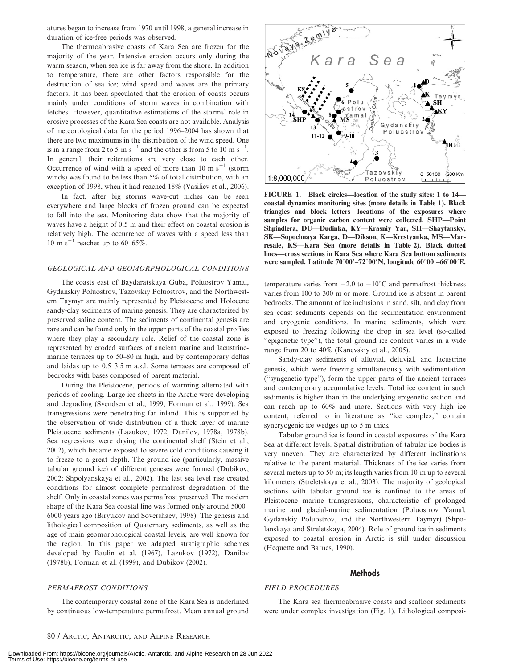atures began to increase from 1970 until 1998, a general increase in duration of ice-free periods was observed.

The thermoabrasive coasts of Kara Sea are frozen for the majority of the year. Intensive erosion occurs only during the warm season, when sea ice is far away from the shore. In addition to temperature, there are other factors responsible for the destruction of sea ice; wind speed and waves are the primary factors. It has been speculated that the erosion of coasts occurs mainly under conditions of storm waves in combination with fetches. However, quantitative estimations of the storms' role in erosive processes of the Kara Sea coasts are not available. Analysis of meteorological data for the period 1996–2004 has shown that there are two maximums in the distribution of the wind speed. One is in a range from 2 to 5 m s<sup>-1</sup> and the other is from 5 to 10 m s<sup>-1</sup>. In general, their reiterations are very close to each other. Occurrence of wind with a speed of more than 10 m  $s^{-1}$  (storm winds) was found to be less than 5% of total distribution, with an exception of 1998, when it had reached 18% (Vasiliev et al., 2006).

In fact, after big storms wave-cut niches can be seen everywhere and large blocks of frozen ground can be expected to fall into the sea. Monitoring data show that the majority of waves have a height of 0.5 m and their effect on coastal erosion is relatively high. The occurrence of waves with a speed less than 10 m s<sup>-1</sup> reaches up to  $60-65\%$ .

#### GEOLOGICAL AND GEOMORPHOLOGICAL CONDITIONS

The coasts east of Baydaratskaya Guba, Poluostrov Yamal, Gydanskiy Poluostrov, Tazovskiy Poluostrov, and the Northwestern Taymyr are mainly represented by Pleistocene and Holocene sandy-clay sediments of marine genesis. They are characterized by preserved saline content. The sediments of continental genesis are rare and can be found only in the upper parts of the coastal profiles where they play a secondary role. Relief of the coastal zone is represented by eroded surfaces of ancient marine and lacustrinemarine terraces up to 50–80 m high, and by contemporary deltas and laidas up to 0.5–3.5 m a.s.l. Some terraces are composed of bedrocks with bases composed of parent material.

During the Pleistocene, periods of warming alternated with periods of cooling. Large ice sheets in the Arctic were developing and degrading (Svendsen et al., 1999; Forman et al., 1999). Sea transgressions were penetrating far inland. This is supported by the observation of wide distribution of a thick layer of marine Pleistocene sediments (Lazukov, 1972; Danilov, 1978a, 1978b). Sea regressions were drying the continental shelf (Stein et al., 2002), which became exposed to severe cold conditions causing it to freeze to a great depth. The ground ice (particularly, massive tabular ground ice) of different geneses were formed (Dubikov, 2002; Shpolyanskaya et al., 2002). The last sea level rise created conditions for almost complete permafrost degradation of the shelf. Only in coastal zones was permafrost preserved. The modern shape of the Kara Sea coastal line was formed only around 5000– 6000 years ago (Biryukov and Sovershaev, 1998). The genesis and lithological composition of Quaternary sediments, as well as the age of main geomorphological coastal levels, are well known for the region. In this paper we adapted stratigraphic schemes developed by Baulin et al. (1967), Lazukov (1972), Danilov (1978b), Forman et al. (1999), and Dubikov (2002).

#### PERMAFROST CONDITIONS

The contemporary coastal zone of the Kara Sea is underlined by continuous low-temperature permafrost. Mean annual ground



FIGURE 1. Black circles—location of the study sites: 1 to 14 coastal dynamics monitoring sites (more details in Table 1). Black triangles and block letters—locations of the exposures where samples for organic carbon content were collected. SHP—Point Shpindlera, DU—Dudinka, KY—Krasniy Yar, SH—Shaytansky, SK—Sopochnaya Karga, D—Dikson, K—Krestyanka, MS—Marresale, KS—Kara Sea (more details in Table 2). Black dotted lines—cross sections in Kara Sea where Kara Sea bottom sediments were sampled. Latitude  $70^{\circ}00' - 72^{\circ}00'N$ , longitude  $60^{\circ}00' - 66^{\circ}00'E$ .

temperature varies from  $-2.0$  to  $-10^{\circ}$ C and permafrost thickness varies from 100 to 300 m or more. Ground ice is absent in parent bedrocks. The amount of ice inclusions in sand, silt, and clay from sea coast sediments depends on the sedimentation environment and cryogenic conditions. In marine sediments, which were exposed to freezing following the drop in sea level (so-called ''epigenetic type''), the total ground ice content varies in a wide range from 20 to 40% (Kanevskiy et al., 2005).

Sandy-clay sediments of alluvial, deluvial, and lacustrine genesis, which were freezing simultaneously with sedimentation (''syngenetic type''), form the upper parts of the ancient terraces and contemporary accumulative levels. Total ice content in such sediments is higher than in the underlying epigenetic section and can reach up to 60% and more. Sections with very high ice content, referred to in literature as ''ice complex,'' contain syncryogenic ice wedges up to 5 m thick.

Tabular ground ice is found in coastal exposures of the Kara Sea at different levels. Spatial distribution of tabular ice bodies is very uneven. They are characterized by different inclinations relative to the parent material. Thickness of the ice varies from several meters up to 50 m; its length varies from 10 m up to several kilometers (Streletskaya et al., 2003). The majority of geological sections with tabular ground ice is confined to the areas of Pleistocene marine transgressions, characteristic of prolonged marine and glacial-marine sedimentation (Poluostrov Yamal, Gydanskiy Poluostrov, and the Northwestern Taymyr) (Shpolanskaya and Streletskaya, 2004). Role of ground ice in sediments exposed to coastal erosion in Arctic is still under discussion (Hequette and Barnes, 1990).

### **Methods**

#### FIELD PROCEDURES

The Kara sea thermoabrasive coasts and seafloor sediments were under complex investigation (Fig. 1). Lithological composi-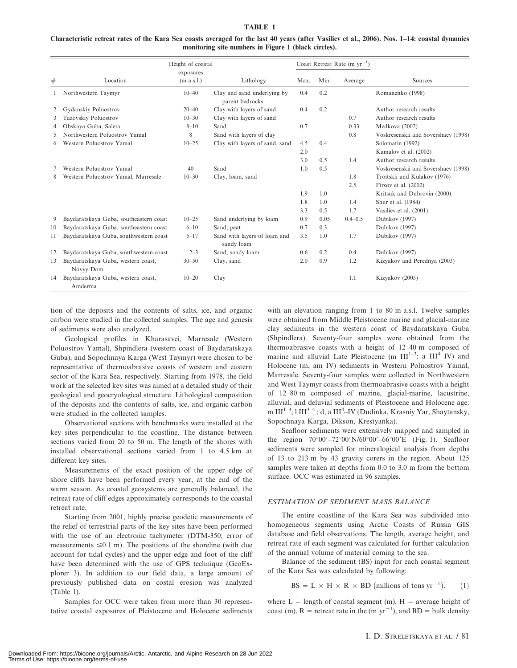#### TABLE 1

Characteristic retreat rates of the Kara Sea coasts averaged for the last 40 years (after Vasiliev et al., 2006). Nos. 1–14: coastal dynamics monitoring site numbers in Figure 1 (black circles).

|                       |                                                 | Height of coastal       |                                                |      |      | Coast Retreat Rate (m $yr^{-1}$ ) |                                     |
|-----------------------|-------------------------------------------------|-------------------------|------------------------------------------------|------|------|-----------------------------------|-------------------------------------|
| $_{\#}$               | Location                                        | exposures<br>(m a.s.l.) | Lithology                                      | Max. | Min. | Average                           | Sources                             |
|                       | Northwestern Taymyr                             | $10 - 40$               | Clay and sand underlying by<br>parent bedrocks | 0.4  | 0.2  |                                   | Romanenko (1998)                    |
| $\mathbf{2}^{\prime}$ | Gydanskiy Poluostrov                            | $20 - 40$               | Clay with layers of sand                       | 0.4  | 0.2  |                                   | Author research results             |
| 3                     | Tazovskiy Poluostrov                            | $10 - 30$               | Clay with layers of sand                       |      |      | 0.7                               | Author research results             |
| 4                     | Obskaya Guba, Saleta                            | $8 - 10$                | Sand                                           | 0.7  |      | 0.33                              | Medkova (2002)                      |
| 5                     | Northwestern Poluostrov Yamal                   | 8                       | Sand with layers of clay                       |      |      | 0.8                               | Voskresenskii and Sovershaev (1998) |
| 6                     | Western Poluostrov Yamal                        | $10 - 25$               | Clay with layers of sand, sand                 | 4.5  | 0.4  |                                   | Solomatin (1992)                    |
|                       |                                                 |                         |                                                | 2.0  |      |                                   | Kamalov et al. (2002)               |
|                       |                                                 |                         |                                                | 3.0  | 0.5  | 1.4                               | Author research results             |
|                       | Western Poluostrov Yamal                        | 40                      | Sand                                           | 1.0  | 0.5  |                                   | Voskresenskii and Sovershaev (1998) |
| 8                     | Western Poluostrov Yamal, Marresale             | $10 - 30$               | Clay, loam, sand                               |      |      | 1.8                               | Troitskii and Kulakov (1976)        |
|                       |                                                 |                         |                                                |      |      | 2.5                               | Firsov et al. (2002)                |
|                       |                                                 |                         |                                                | 1.9  | 1.0  |                                   | Kritsuk and Dubrovin (2000)         |
|                       |                                                 |                         |                                                | 1.8  | 1.0  | 1.4                               | Shur et al. (1984)                  |
|                       |                                                 |                         |                                                | 3.3  | 0.5  | 1.7                               | Vasiliev et al. (2001)              |
| 9                     | Baydaratskaya Guba, southeastern coast          | $10 - 25$               | Sand underlying by loam                        | 0.9  | 0.05 | $0.4 - 0.5$                       | Dubikov (1997)                      |
| 10                    | Baydaratskaya Guba, southeastern coast          | $6 - 10$                | Sand, peat                                     | 0.7  | 0.3  |                                   | Dubikov (1997)                      |
| 11                    | Baydaratskaya Guba, southwestern coast          | $5 - 17$                | Sand with layers of loam and<br>sandy loam     | 3.5  | 1.0  | 1.7                               | Dubikov (1997)                      |
| 12                    | Baydaratskaya Guba, southwestern coast          | $2 - 3$                 | Sand, sandy loam                               | 0.6  | 0.2  | 0.4                               | Dubikov (1997)                      |
| 13                    | Baydaratskaya Guba, western coast,<br>Novyy Dom | $30 - 50$               | Clay, sand                                     | 2.0  | 0.9  | 1.2                               | Kizyakov and Perednya (2003)        |
| 14                    | Baydaratskaya Guba, western coast,<br>Amderma   | $10 - 20$               | Clay                                           |      |      | 1.1                               | Kizyakov (2005)                     |

tion of the deposits and the contents of salts, ice, and organic carbon were studied in the collected samples. The age and genesis of sediments were also analyzed.

Geological profiles in Kharasavei, Marresale (Western Poluostrov Yamal), Shpindlera (western coast of Baydaratskaya Guba), and Sopochnaya Karga (West Taymyr) were chosen to be representative of thermoabrasive coasts of western and eastern sector of the Kara Sea, respectively. Starting from 1978, the field work at the selected key sites was aimed at a detailed study of their geological and geocryological structure. Lithological composition of the deposits and the contents of salts, ice, and organic carbon were studied in the collected samples.

Observational sections with benchmarks were installed at the key sites perpendicular to the coastline. The distance between sections varied from 20 to 50 m. The length of the shores with installed observational sections varied from 1 to 4.5 km at different key sites.

Measurements of the exact position of the upper edge of shore cliffs have been performed every year, at the end of the warm season. As coastal geosystems are generally balanced, the retreat rate of cliff edges approximately corresponds to the coastal retreat rate.

Starting from 2001, highly precise geodetic measurements of the relief of terrestrial parts of the key sites have been performed with the use of an electronic tachymeter (DTM-350; error of measurements  $\leq 0.1$  m). The positions of the shoreline (with due account for tidal cycles) and the upper edge and foot of the cliff have been determined with the use of GPS technique (GeoExplorer 3). In addition to our field data, a large amount of previously published data on costal erosion was analyzed (Table 1).

Samples for OCC were taken from more than 30 representative coastal exposures of Pleistocene and Holocene sediments with an elevation ranging from 1 to 80 m a.s.l. Twelve samples were obtained from Middle Pleistocene marine and glacial-marine clay sediments in the western coast of Baydaratskaya Guba (Shpindlera). Seventy-four samples were obtained from the thermoabrasive coasts with a height of 12–40 m composed of marine and alluvial Late Pleistocene (m  $III^{1-3}$ ; a  $III^4$ -IV) and Holocene (m, am IV) sediments in Western Poluostrov Yamal, Marresale. Seventy-four samples were collected in Northwestern and West Taymyr coasts from thermoabrasive coasts with a height of 12–80 m composed of marine, glacial-marine, lacustrine, alluvial, and deluvial sediments of Pleistocene and Holocene age: m III<sup>1–3</sup>; l III<sup>3–4</sup> ; d, a III<sup>4</sup>–IV (Dudinka, Krasniy Yar, Shaytansky, Sopochnaya Karga, Dikson, Krestyanka).

Seafloor sediments were extensively mapped and sampled in the region  $70^{\circ}00' - 72^{\circ}00'$  N/60°00' - 66°00' E (Fig. 1). Seafloor sediments were sampled for mineralogical analysis from depths of 13 to 213 m by 43 gravity corers in the region. About 125 samples were taken at depths from 0.0 to 3.0 m from the bottom surface. OCC was estimated in 96 samples.

#### ESTIMATION OF SEDIMENT MASS BALANCE

The entire coastline of the Kara Sea was subdivided into homogeneous segments using Arctic Coasts of Russia GIS database and field observations. The length, average height, and retreat rate of each segment was calculated for further calculation of the annual volume of material coming to the sea.

Balance of the sediment (BS) input for each coastal segment of the Kara Sea was calculated by following:

$$
BS = L \times H \times R \times BD \text{ (millions of tons yr}^{-1}\text{)}, \qquad (1)
$$

where  $L =$  length of coastal segment (m),  $H =$  average height of coast (m),  $R =$  retreat rate in the (m yr<sup>-1</sup>), and BD = bulk density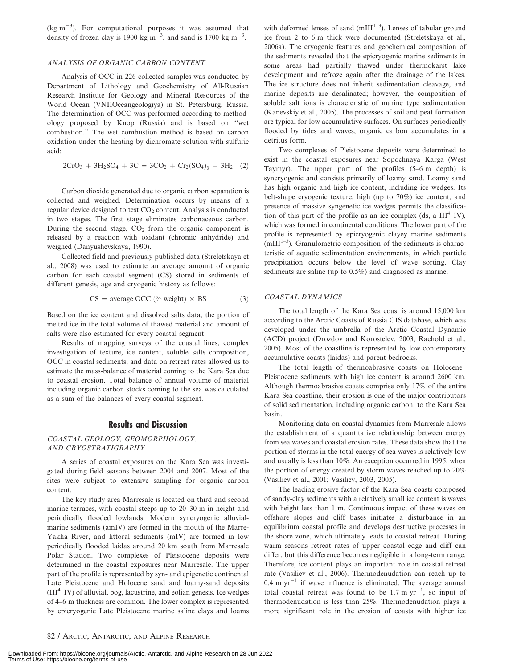$(\text{kg m}^{-3})$ . For computational purposes it was assumed that density of frozen clay is 1900 kg m<sup>-3</sup>, and sand is 1700 kg m<sup>-3</sup>.

#### ANALYSIS OF ORGANIC CARBON CONTENT

Analysis of OCC in 226 collected samples was conducted by Department of Lithology and Geochemistry of All-Russian Research Institute for Geology and Mineral Resources of the World Ocean (VNIIOceangeologiya) in St. Petersburg, Russia. The determination of OCC was performed according to methodology proposed by Knop (Russia) and is based on ''wet combustion.'' The wet combustion method is based on carbon oxidation under the heating by dichromate solution with sulfuric acid:

$$
2CrO3 + 3H2SO4 + 3C = 3CO2 + Cr2(SO4)3 + 3H2 (2)
$$

Carbon dioxide generated due to organic carbon separation is collected and weighed. Determination occurs by means of a regular device designed to test  $CO<sub>2</sub>$  content. Analysis is conducted in two stages. The first stage eliminates carbonaceous carbon. During the second stage,  $CO<sub>2</sub>$  from the organic component is released by a reaction with oxidant (chromic anhydride) and weighed (Danyushevskaya, 1990).

Collected field and previously published data (Streletskaya et al., 2008) was used to estimate an average amount of organic carbon for each coastal segment (CS) stored in sediments of different genesis, age and cryogenic history as follows:

$$
CS = average OCC \, (^{\circ\!}_{\circ} \text{ weight}) \times BS \tag{3}
$$

Based on the ice content and dissolved salts data, the portion of melted ice in the total volume of thawed material and amount of salts were also estimated for every coastal segment.

Results of mapping surveys of the coastal lines, complex investigation of texture, ice content, soluble salts composition, OCC in coastal sediments, and data on retreat rates allowed us to estimate the mass-balance of material coming to the Kara Sea due to coastal erosion. Total balance of annual volume of material including organic carbon stocks coming to the sea was calculated as a sum of the balances of every coastal segment.

#### Results and Discussion

#### COASTAL GEOLOGY, GEOMORPHOLOGY, AND CRYOSTRATIGRAPHY

A series of coastal exposures on the Kara Sea was investigated during field seasons between 2004 and 2007. Most of the sites were subject to extensive sampling for organic carbon content.

The key study area Marresale is located on third and second marine terraces, with coastal steeps up to 20–30 m in height and periodically flooded lowlands. Modern syncryogenic alluvialmarine sediments (amIV) are formed in the mouth of the Marre-Yakha River, and littoral sediments (mIV) are formed in low periodically flooded laidas around 20 km south from Marresale Polar Station. Two complexes of Pleistocene deposits were determined in the coastal exposures near Marresale. The upper part of the profile is represented by syn- and epigenetic continental Late Pleistocene and Holocene sand and loamy-sand deposits  $(III<sup>4</sup>–IV)$  of alluvial, bog, lacustrine, and eolian genesis. Ice wedges of 4–6 m thickness are common. The lower complex is represented by epicryogenic Late Pleistocene marine saline clays and loams

with deformed lenses of sand ( $mIII^{1-3}$ ). Lenses of tabular ground ice from 2 to 6 m thick were documented (Streletskaya et al., 2006a). The cryogenic features and geochemical composition of the sediments revealed that the epicryogenic marine sediments in some areas had partially thawed under thermokarst lake development and refroze again after the drainage of the lakes. The ice structure does not inherit sedimentation cleavage, and marine deposits are desalinated; however, the composition of soluble salt ions is characteristic of marine type sedimentation (Kanevskiy et al., 2005). The processes of soil and peat formation are typical for low accumulative surfaces. On surfaces periodically flooded by tides and waves, organic carbon accumulates in a detritus form.

Two complexes of Pleistocene deposits were determined to exist in the coastal exposures near Sopochnaya Karga (West Taymyr). The upper part of the profiles (5–6 m depth) is syncryogenic and consists primarily of loamy sand. Loamy sand has high organic and high ice content, including ice wedges. Its belt-shape cryogenic texture, high (up to 70%) ice content, and presence of massive syngenetic ice wedges permits the classification of this part of the profile as an ice complex (ds, a  $III<sup>4</sup>–IV$ ), which was formed in continental conditions. The lower part of the profile is represented by epicryogenic clayey marine sediments  $(mIII<sup>1-3</sup>)$ . Granulometric composition of the sediments is characteristic of aquatic sedimentation environments, in which particle precipitation occurs below the level of wave sorting. Clay sediments are saline (up to 0.5%) and diagnosed as marine.

#### COASTAL DYNAMICS

The total length of the Kara Sea coast is around 15,000 km according to the Arctic Coasts of Russia GIS database, which was developed under the umbrella of the Arctic Coastal Dynamic (ACD) project (Drozdov and Korostelev, 2003; Rachold et al., 2005). Most of the coastline is represented by low contemporary accumulative coasts (laidas) and parent bedrocks.

The total length of thermoabrasive coasts on Holocene– Pleistocene sediments with high ice content is around 2600 km. Although thermoabrasive coasts comprise only 17% of the entire Kara Sea coastline, their erosion is one of the major contributors of solid sedimentation, including organic carbon, to the Kara Sea basin.

Monitoring data on coastal dynamics from Marresale allows the establishment of a quantitative relationship between energy from sea waves and coastal erosion rates. These data show that the portion of storms in the total energy of sea waves is relatively low and usually is less than 10%. An exception occurred in 1995, when the portion of energy created by storm waves reached up to 20% (Vasiliev et al., 2001; Vasiliev, 2003, 2005).

The leading erosive factor of the Kara Sea coasts composed of sandy-clay sediments with a relatively small ice content is waves with height less than 1 m. Continuous impact of these waves on offshore slopes and cliff bases initiates a disturbance in an equilibrium coastal profile and develops destructive processes in the shore zone, which ultimately leads to coastal retreat. During warm seasons retreat rates of upper coastal edge and cliff can differ, but this difference becomes negligible in a long-term range. Therefore, ice content plays an important role in coastal retreat rate (Vasiliev et al., 2006). Thermodenudation can reach up to  $0.4$  m yr<sup>-1</sup> if wave influence is eliminated. The average annual total coastal retreat was found to be  $1.7 \text{ m yr}^{-1}$ , so input of thermodenudation is less than 25%. Thermodenudation plays a more significant role in the erosion of coasts with higher ice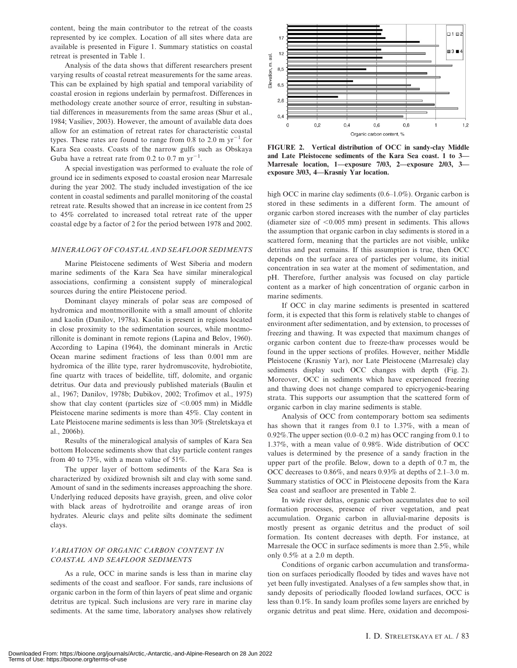content, being the main contributor to the retreat of the coasts represented by ice complex. Location of all sites where data are available is presented in Figure 1. Summary statistics on coastal retreat is presented in Table 1.

Analysis of the data shows that different researchers present varying results of coastal retreat measurements for the same areas. This can be explained by high spatial and temporal variability of coastal erosion in regions underlain by permafrost. Differences in methodology create another source of error, resulting in substantial differences in measurements from the same areas (Shur et al., 1984; Vasiliev, 2003). However, the amount of available data does allow for an estimation of retreat rates for characteristic coastal types. These rates are found to range from 0.8 to 2.0 m  $yr^{-1}$  for Kara Sea coasts. Coasts of the narrow gulfs such as Obskaya Guba have a retreat rate from 0.2 to 0.7 m  $yr^{-1}$ .

A special investigation was performed to evaluate the role of ground ice in sediments exposed to coastal erosion near Marresale during the year 2002. The study included investigation of the ice content in coastal sediments and parallel monitoring of the coastal retreat rate. Results showed that an increase in ice content from 25 to 45% correlated to increased total retreat rate of the upper coastal edge by a factor of 2 for the period between 1978 and 2002.

#### MINERALOGY OF COASTAL AND SEAFLOOR SEDIMENTS

Marine Pleistocene sediments of West Siberia and modern marine sediments of the Kara Sea have similar mineralogical associations, confirming a consistent supply of mineralogical sources during the entire Pleistocene period.

Dominant clayey minerals of polar seas are composed of hydromica and montmorillonite with a small amount of chlorite and kaolin (Danilov, 1978a). Kaolin is present in regions located in close proximity to the sedimentation sources, while montmorillonite is dominant in remote regions (Lapina and Belov, 1960). According to Lapina (1964), the dominant minerals in Arctic Ocean marine sediment fractions of less than 0.001 mm are hydromica of the illite type, rarer hydromuscovite, hydrobiotite, fine quartz with traces of beidellite, tiff, dolomite, and organic detritus. Our data and previously published materials (Baulin et al., 1967; Danilov, 1978b; Dubikov, 2002; Trofimov et al., 1975) show that clay content (particles size of  $< 0.005$  mm) in Middle Pleistocene marine sediments is more than 45%. Clay content in Late Pleistocene marine sediments is less than 30% (Streletskaya et al., 2006b).

Results of the mineralogical analysis of samples of Kara Sea bottom Holocene sediments show that clay particle content ranges from 40 to 73%, with a mean value of 51%.

The upper layer of bottom sediments of the Kara Sea is characterized by oxidized brownish silt and clay with some sand. Amount of sand in the sediments increases approaching the shore. Underlying reduced deposits have grayish, green, and olive color with black areas of hydrotroilite and orange areas of iron hydrates. Aleuric clays and pelite silts dominate the sediment clays.

#### VARIATION OF ORGANIC CARBON CONTENT IN COASTAL AND SEAFLOOR SEDIMENTS

As a rule, OCC in marine sands is less than in marine clay sediments of the coast and seafloor. For sands, rare inclusions of organic carbon in the form of thin layers of peat slime and organic detritus are typical. Such inclusions are very rare in marine clay sediments. At the same time, laboratory analyses show relatively



FIGURE 2. Vertical distribution of OCC in sandy-clay Middle and Late Pleistocene sediments of the Kara Sea coast. 1 to 3— Marresale location, 1—exposure 7/03, 2—exposure 2/03, 3 exposure 3/03, 4—Krasniy Yar location.

high OCC in marine clay sediments (0.6–1.0%). Organic carbon is stored in these sediments in a different form. The amount of organic carbon stored increases with the number of clay particles (diameter size of  $< 0.005$  mm) present in sediments. This allows the assumption that organic carbon in clay sediments is stored in a scattered form, meaning that the particles are not visible, unlike detritus and peat remains. If this assumption is true, then OCC depends on the surface area of particles per volume, its initial concentration in sea water at the moment of sedimentation, and pH. Therefore, further analysis was focused on clay particle content as a marker of high concentration of organic carbon in marine sediments.

If OCC in clay marine sediments is presented in scattered form, it is expected that this form is relatively stable to changes of environment after sedimentation, and by extension, to processes of freezing and thawing. It was expected that maximum changes of organic carbon content due to freeze-thaw processes would be found in the upper sections of profiles. However, neither Middle Pleistocene (Krasniy Yar), nor Late Pleistocene (Marresale) clay sediments display such OCC changes with depth (Fig. 2). Moreover, OCC in sediments which have experienced freezing and thawing does not change compared to epicryogenic-bearing strata. This supports our assumption that the scattered form of organic carbon in clay marine sediments is stable.

Analysis of OCC from contemporary bottom sea sediments has shown that it ranges from 0.1 to 1.37%, with a mean of 0.92%.The upper section (0.0–0.2 m) has OCC ranging from 0.1 to 1.37%, with a mean value of 0.98%. Wide distribution of OCC values is determined by the presence of a sandy fraction in the upper part of the profile. Below, down to a depth of 0.7 m, the OCC decreases to 0.86%, and nears 0.93% at depths of 2.1–3.0 m. Summary statistics of OCC in Pleistocene deposits from the Kara Sea coast and seafloor are presented in Table 2.

In wide river deltas, organic carbon accumulates due to soil formation processes, presence of river vegetation, and peat accumulation. Organic carbon in alluvial-marine deposits is mostly present as organic detritus and the product of soil formation. Its content decreases with depth. For instance, at Marresale the OCC in surface sediments is more than 2.5%, while only 0.5% at a 2.0 m depth.

Conditions of organic carbon accumulation and transformation on surfaces periodically flooded by tides and waves have not yet been fully investigated. Analyses of a few samples show that, in sandy deposits of periodically flooded lowland surfaces, OCC is less than 0.1%. In sandy loam profiles some layers are enriched by organic detritus and peat slime. Here, oxidation and decomposi-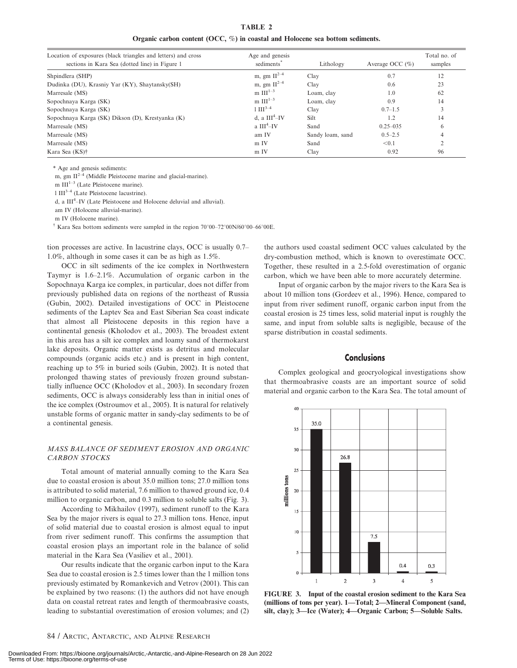TABLE 2 Organic carbon content (OCC, %) in coastal and Holocene sea bottom sediments.

| Location of exposures (black triangles and letters) and cross | Age and genesis        |                  |                     | Total no. of |
|---------------------------------------------------------------|------------------------|------------------|---------------------|--------------|
| sections in Kara Sea (dotted line) in Figure 1                | sediments <sup>7</sup> | Lithology        | Average OCC $(\% )$ | samples      |
| Shpindlera (SHP)                                              | m, gm $II^{2-4}$       | Clay             | 0.7                 | 12           |
| Dudinka (DU), Krasniy Yar (KY), Shaytansky(SH)                | m, gm $II^{2-4}$       | Clay             | 0.6                 | 23           |
| Marresale (MS)                                                | m $III^{1-3}$          | Loam, clay       | 1.0                 | 62           |
| Sopochnaya Karga (SK)                                         | m $III^{1-3}$          | Loam, clay       | 0.9                 | 14           |
| Sopochnaya Karga (SK)                                         | $1 \text{ HI}^{3-4}$   | Clay             | $0.7 - 1.5$         |              |
| Sopochnaya Karga (SK) Dikson (D), Krestyanka (K)              | d, a $III4-IV$         | Silt             | 1.2                 | 14           |
| Marresale (MS)                                                | a $III4-IV$            | Sand             | $0.25 - 0.35$       | 6            |
| Marresale (MS)                                                | am IV                  | Sandy loam, sand | $0.5 - 2.5$         | 4            |
| Marresale (MS)                                                | m IV                   | Sand             | < 0.1               |              |
| Kara Sea (KS) <sup>†</sup>                                    | m IV                   | Clay             | 0.92                | 96           |

\* Age and genesis sediments:

m, gm  $II^{2-4}$  (Middle Pleistocene marine and glacial-marine).

m III $1-3$  (Late Pleistocene marine).

 $1 \text{ III}^{3-4}$  (Late Pleistocene lacustrine).

d, a III<sup>4</sup>-IV (Late Pleistocene and Holocene deluvial and alluvial).

am IV (Holocene alluvial-marine).

m IV (Holocene marine).

 $\dagger$  Kara Sea bottom sediments were sampled in the region 70°00–72°00N/60°00–66°00E.

tion processes are active. In lacustrine clays, OCC is usually 0.7– 1.0%, although in some cases it can be as high as 1.5%.

OCC in silt sediments of the ice complex in Northwestern Taymyr is 1.6–2.1%. Accumulation of organic carbon in the Sopochnaya Karga ice complex, in particular, does not differ from previously published data on regions of the northeast of Russia (Gubin, 2002). Detailed investigations of OCC in Pleistocene sediments of the Laptev Sea and East Siberian Sea coast indicate that almost all Pleistocene deposits in this region have a continental genesis (Kholodov et al., 2003). The broadest extent in this area has a silt ice complex and loamy sand of thermokarst lake deposits. Organic matter exists as detritus and molecular compounds (organic acids etc.) and is present in high content, reaching up to 5% in buried soils (Gubin, 2002). It is noted that prolonged thawing states of previously frozen ground substantially influence OCC (Kholodov et al., 2003). In secondary frozen sediments, OCC is always considerably less than in initial ones of the ice complex (Ostroumov et al., 2005). It is natural for relatively unstable forms of organic matter in sandy-clay sediments to be of a continental genesis.

#### MASS BALANCE OF SEDIMENT EROSION AND ORGANIC CARBON STOCKS

Total amount of material annually coming to the Kara Sea due to coastal erosion is about 35.0 million tons; 27.0 million tons is attributed to solid material, 7.6 million to thawed ground ice, 0.4 million to organic carbon, and 0.3 million to soluble salts (Fig. 3).

According to Mikhailov (1997), sediment runoff to the Kara Sea by the major rivers is equal to 27.3 million tons. Hence, input of solid material due to coastal erosion is almost equal to input from river sediment runoff. This confirms the assumption that coastal erosion plays an important role in the balance of solid material in the Kara Sea (Vasiliev et al., 2001).

Our results indicate that the organic carbon input to the Kara Sea due to coastal erosion is 2.5 times lower than the 1 million tons previously estimated by Romankevich and Vetrov (2001). This can be explained by two reasons: (1) the authors did not have enough data on coastal retreat rates and length of thermoabrasive coasts, leading to substantial overestimation of erosion volumes; and (2) the authors used coastal sediment OCC values calculated by the dry-combustion method, which is known to overestimate OCC. Together, these resulted in a 2.5-fold overestimation of organic carbon, which we have been able to more accurately determine.

Input of organic carbon by the major rivers to the Kara Sea is about 10 million tons (Gordeev et al., 1996). Hence, compared to input from river sediment runoff, organic carbon input from the coastal erosion is 25 times less, solid material input is roughly the same, and input from soluble salts is negligible, because of the sparse distribution in coastal sediments.

#### **Conclusions**

Complex geological and geocryological investigations show that thermoabrasive coasts are an important source of solid material and organic carbon to the Kara Sea. The total amount of



FIGURE 3. Input of the coastal erosion sediment to the Kara Sea (millions of tons per year). 1—Total; 2—Mineral Component (sand, silt, clay); 3—Ice (Water); 4—Organic Carbon; 5—Soluble Salts.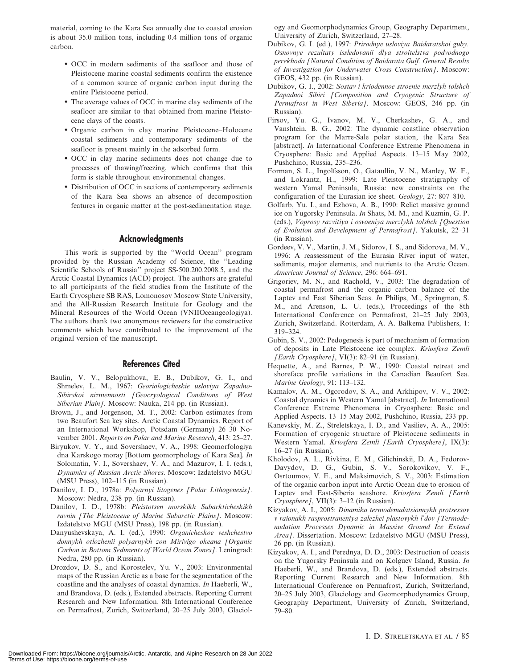material, coming to the Kara Sea annually due to coastal erosion is about 35.0 million tons, including 0.4 million tons of organic carbon.

- OCC in modern sediments of the seafloor and those of Pleistocene marine coastal sediments confirm the existence of a common source of organic carbon input during the entire Pleistocene period.
- The average values of OCC in marine clay sediments of the seafloor are similar to that obtained from marine Pleistocene clays of the coasts.
- Organic carbon in clay marine Pleistocene–Holocene coastal sediments and contemporary sediments of the seafloor is present mainly in the adsorbed form.
- OCC in clay marine sediments does not change due to processes of thawing/freezing, which confirms that this form is stable throughout environmental changes.
- Distribution of OCC in sections of contemporary sediments of the Kara Sea shows an absence of decomposition features in organic matter at the post-sedimentation stage.

#### Acknowledgments

This work is supported by the ''World Ocean'' program provided by the Russian Academy of Science, the ''Leading Scientific Schools of Russia'' project SS-500.200.2008.5, and the Arctic Coastal Dynamics (ACD) project. The authors are grateful to all participants of the field studies from the Institute of the Earth Cryosphere SB RAS, Lomonosov Moscow State University, and the All-Russian Research Institute for Geology and the Mineral Resources of the World Ocean (VNIIOceangeologiya). The authors thank two anonymous reviewers for the constructive comments which have contributed to the improvement of the original version of the manuscript.

# References Cited

- Baulin, V. V., Belopukhova, E. B., Dubikov, G. I., and Shmelev, L. M., 1967: Georiologicheskie usloviya Zapadno-Sibirskoi nizmennosti [Geocryological Conditions of West Siberian Plain]. Moscow: Nauka, 214 pp. (in Russian).
- Brown, J., and Jorgenson, M. T., 2002: Carbon estimates from two Beaufort Sea key sites. Arctic Coastal Dynamics. Report of an International Workshop, Potsdam (Germany) 26–30 November 2001. Reports on Polar and Marine Research, 413: 25–27.
- Biryukov, V. Y., and Sovershaev, V. A., 1998: Geomorfologiya dna Karskogo moray [Bottom geomorphology of Kara Sea]. In Solomatin, V. I., Sovershaev, V. A., and Mazurov, I. I. (eds.), Dynamics of Russian Arctic Shores. Moscow: Izdatelstvo MGU (MSU Press), 102–115 (in Russian).
- Danilov, I. D., 1978a: Polyarnyi litogenes [Polar Lithogenesis]. Moscow: Nedra, 238 pp. (in Russian).
- Danilov, I. D., 1978b: Pleistotsen morskikh Subarkticheskikh ravnin [The Pleistocene of Marine Subarctic Plains]. Moscow: Izdatelstvo MGU (MSU Press), 198 pp. (in Russian).
- Danyushevskaya, A. I. (ed.), 1990: Organicheskoe veshchestvo donnykh otlozhenii polyarnykh zon Mirivigo okeana [Organic Carbon in Bottom Sediments of World Ocean Zones]. Leningrad: Nedra, 280 pp. (in Russian).
- Drozdov, D. S., and Korostelev, Yu. V., 2003: Environmental maps of the Russian Arctic as a base for the segmentation of the coastline and the analyses of coastal dynamics. In Haeberli, W., and Brandova, D. (eds.), Extended abstracts. Reporting Current Research and New Information. 8th International Conference on Permafrost, Zurich, Switzerland, 20–25 July 2003, Glaciol-

ogy and Geomorphodynamics Group, Geography Department, University of Zurich, Switzerland, 27–28.

- Dubikov, G. I. (ed.), 1997: Prirodnye usloviya Baidaratskoi guby. Osnovnye rezultaty issledovanii dlya stroitelstva podvodnogo perekhoda [Natural Condition of Baidarata Gulf. General Results of Investigation for Underwater Cross Construction]. Moscow: GEOS, 432 pp. (in Russian).
- Dubikov, G. I., 2002: Sostav i kriodennoe stroenie merzlyh tolshch Zapadnoi Sibiri [Composition and Cryogenic Structure of Permafrost in West Siberia]. Moscow: GEOS, 246 pp. (in Russian).
- Firsov, Yu. G., Ivanov, M. V., Cherkashev, G. A., and Vanshtein, B. G., 2002: The dynamic coastline observation program for the Marre-Sale polar station, the Kara Sea [abstract]. In International Conference Extreme Phenomena in Cryosphere: Basic and Applied Aspects. 13–15 May 2002, Pushchino, Russia, 235–236.
- Forman, S. L., Ingolfsson, O., Gataullin, V. N., Manley, W. F., and Lokrantz, H., 1999: Late Pleistocene stratigraphy of western Yamal Peninsula, Russia: new constraints on the configuration of the Eurasian ice sheet. Geology, 27: 807–810.
- Golfarb, Yu. I., and Ezhova, A. B., 1990: Relict massive ground ice on Yugorsky Peninsula. In Shats, M. M., and Kuzmin, G. P. (eds.), Voprosy razvitiya i osvoeniya merzlykh tolshch [Question of Evolution and Development of Permafrost]. Yakutsk, 22–31 (in Russian).
- Gordeev, V. V., Martin, J. M., Sidorov, I. S., and Sidorova, M. V., 1996: A reassessment of the Eurasia River input of water, sediments, major elements, and nutrients to the Arctic Ocean. American Journal of Science, 296: 664–691.
- Grigoriev, M. N., and Rachold, V., 2003: The degradation of coastal permafrost and the organic carbon balance of the Laptev and East Siberian Seas. In Philips, M., Springman, S. M., and Arenson, L. U. (eds.), Proceedings of the 8th International Conference on Permafrost, 21–25 July 2003, Zurich, Switzerland. Rotterdam, A. A. Balkema Publishers, 1: 319–324.
- Gubin, S. V., 2002: Pedogenesis is part of mechanism of formation of deposits in Late Pleistocene ice complex. Kriosfera Zemli [Earth Cryosphere], VI(3): 82–91 (in Russian).
- Hequette, A., and Barnes, P. W., 1990: Coastal retreat and shoreface profile variations in the Canadian Beaufort Sea. Marine Geology, 91: 113–132.
- Kamalov, A. M., Ogorodov, S. A., and Arkhipov, V. V., 2002: Coastal dynamics in Western Yamal [abstract]. In International Conference Extreme Phenomena in Cryosphere: Basic and Applied Aspects. 13–15 May 2002, Pushchino, Russia, 233 pp.
- Kanevskiy, M. Z., Streletskaya, I. D., and Vasiliev, A. A., 2005: Formation of cryogenic structure of Pleistocene sediments in Western Yamal. Kriosfera Zemli [Earth Cryosphere], IX(3): 16–27 (in Russian).
- Kholodov, A. L., Rivkina, E. M., Gilichinskii, D. A., Fedorov-Davydov, D. G., Gubin, S. V., Sorokovikov, V. F., Osrtoumov, V. E., and Maksimovich, S. V., 2003: Estimation of the organic carbon input into Arctic Ocean due to erosion of Laptev and East-Siberia seashore. Kriosfera Zemli [Earth Cryosphere], VII(3): 3–12 (in Russian).
- Kizyakov, A. I., 2005: Dinamika termodenudatsionnykh protsessov v raionakh rasprostraneniya zalezhei plastovykh l'dov [Termodenudation Processes Dynamic in Massive Ground Ice Extend Area]. Dissertation. Moscow: Izdatelstvo MGU (MSU Press), 26 pp. (in Russian).
- Kizyakov, A. I., and Perednya, D. D., 2003: Destruction of coasts on the Yugorsky Peninsula and on Kolguev Island, Russia. In Haeberli, W., and Brandova, D. (eds.), Extended abstracts. Reporting Current Research and New Information. 8th International Conference on Permafrost, Zurich, Switzerland, 20–25 July 2003, Glaciology and Geomorphodynamics Group, Geography Department, University of Zurich, Switzerland, 79–80.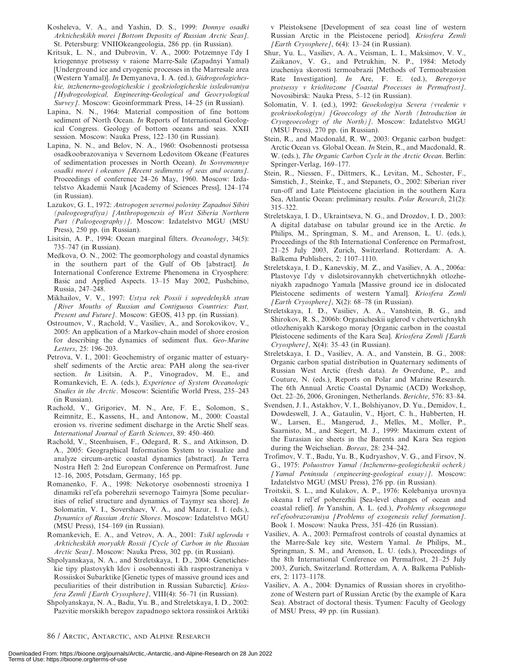- Kosheleva, V. A., and Yashin, D. S., 1999: Donnye osadki Arkticheskikh morei [Bottom Deposits of Russian Arctic Seas]. St. Petersburg: VNIIOkeangeologia, 286 pp. (in Russian).
- Kritsuk, L. N., and Dubrovin, V. A., 2000: Potzemnye l'dy I kriogennye protsessy v raione Marre-Sale (Zapadnyi Yamal) [Underground ice and cryogenic processes in the Marresale area (Western Yamal)]. In Demyanova, I. A. (ed.), Gidrogeologicheskie, inzhenerno-geologicheskie i geokriologicheskie issledovaniya [Hydrogeological, Engineering-Geological and Geocryological Survey]. Moscow: Geoinformmark Press, 14–25 (in Russian).
- Lapina, N. N., 1964: Material composition of fine bottom sediment of North Ocean. In Reports of International Geological Congress. Geology of bottom oceans and seas. XXII session. Moscow: Nauka Press, 122–130 (in Russian).
- Lapina, N. N., and Belov, N. A., 1960: Osobennosti protsessa osadkoobrazovaniya v Severnom Ledovitom Okeane (Features of sedimentation processes in North Ocean). In Sovremennye osadki morei i okeanov [Recent sediments of seas and oceans]. Proceedings of conference 24–26 May, 1960. Moscow: Izdatelstvo Akademii Nauk [Academy of Sciences Press], 124–174 (in Russian).
- Lazukov, G. I., 1972: Antropogen severnoi poloviny Zapadnoi Sibiri (paleogeografiya) [Anthropogenesis of West Siberia Northern Part (Paleogeography)]. Moscow: Izdatelstvo MGU (MSU Press), 250 pp. (in Russian).
- Lisitsin, A. P., 1994: Ocean marginal filters. Oceanology, 34(5): 735–747 (in Russian).
- Medkova, O. N., 2002: The geomorphology and coastal dynamics in the southern part of the Gulf of Ob [abstract]. In International Conference Extreme Phenomena in Cryosphere: Basic and Applied Aspects. 13–15 May 2002, Pushchino, Russia, 247–248.
- Mikhailov, V. V., 1997: Ustya rek Possii i sopredelnykh stran [River Mouths of Russian and Contiguous Countries: Past, Present and Future]. Moscow: GEOS, 413 pp. (in Russian).
- Ostroumov, V., Rachold, V., Vasiliev, A., and Sorokovikov, V., 2005: An application of a Markov-chain model of shore erosion for describing the dynamics of sediment flux. Geo-Marine Letters, 25: 196–203.
- Petrova, V. I., 2001: Geochemistry of organic matter of estuaryshelf sediments of the Arctic area: PAH along the sea-river section. In Lisitsin, A. P., Vinogradov, M. E., and Romankevich, E. A. (eds.), Experience of System Oceanologic Studies in the Arctic. Moscow: Scientific World Press, 235–243 (in Russian).
- Rachold, V., Grigoriev, M. N., Are, F. E., Solomon, S., Reimnitz, E., Kassens, H., and Antonow, M., 2000: Coastal erosion vs. riverine sediment discharge in the Arctic Shelf seas. International Journal of Earth Sciences, 89: 450–460.
- Rachold, V., Steenhuisen, F., Odegard, R. S., and Atkinson, D. A., 2005: Geographical Information System to visualize and analyze circum-arctic coastal dynamics [abstract]. In Terra Nostra Heft 2: 2nd European Conference on Permafrost. June 12–16, 2005, Potsdam, Germany, 165 pp.
- Romanenko, F. A., 1998: Nekotorye osobennosti stroeniya I dinamiki rel'efa poberehzii severnogo Taimyra [Some peculiarities of relief structure and dynamics of Taymyr sea shore]. In Solomatin, V. I., Sovershaev, V. A., and Mazur, I. I. (eds.), Dynamics of Russian Arctic Shores. Moscow: Izdatelstvo MGU (MSU Press), 154–169 (in Russian).
- Romankevich, E. A., and Vetrov, A. A., 2001: Tsikl ugleroda v Arkticheskikh moryakh Rossii [Cycle of Carbon in the Russian Arctic Seas]. Moscow: Nauka Press, 302 pp. (in Russian).
- Shpolyanskaya, N. A., and Streletskaya, I. D., 2004: Geneticheskie tipy plastovykh ldov i osobennosti ikh rasprostraneniya v Rossiiskoi Subarktike [Genetic types of massive ground ices and peculiarities of their distribution in Russian Subarctic]. Kriosfera Zemli [Earth Cryosphere], VIII(4): 56–71 (in Russian).
- Shpolyanskaya, N. A., Badu, Yu. B., and Streletskaya, I. D., 2002: Pazvitie morskikh beregov zapadnogo sektora rossiiskoi Arktiki

v Pleistoksene [Development of sea coast line of western Russian Arctic in the Pleistocene period]. Kriosfera Zemli [Earth Cryosphere], 6(4): 13–24 (in Russian).

- Shur, Yu. L., Vasiliev, A. A., Veisman, L. I., Maksimov, V. V., Zaikanov, V. G., and Petrukhin, N. P., 1984: Metody izucheniya skorosti termoabrazii [Methods of Termoabrasion Rate Investigation]. In Are, F. E. (ed.), Beregovye protsessy v kriolitozone [Coastal Processes in Permafrost]. Novosibirsk: Nauka Press, 5–12 (in Russian).
- Solomatin, V. I. (ed.), 1992: Geoekologiya Severa (vvedenie v geokrioekologiyu) [Geoecology of the North (Introduction in Cryogeoecology of the North)]. Moscow: Izdatelstvo MGU (MSU Press), 270 pp. (in Russian).
- Stein, R., and Macdonald, R. W., 2003: Organic carbon budget: Arctic Ocean vs. Global Ocean. In Stein, R., and Macdonald, R. W. (eds.), The Organic Carbon Cycle in the Arctic Ocean. Berlin: Springer-Verlag, 169–177.
- Stein, R., Niessen, F., Dittmers, K., Levitan, M., Schoster, F., Simstich, J., Steinke, T., and Stepanets, O., 2002: Siberian river run-off and Late Pleistocene glaciation in the southern Kara Sea, Atlantic Ocean: preliminary results. Polar Research, 21(2): 315–322.
- Streletskaya, I. D., Ukraintseva, N. G., and Drozdov, I. D., 2003: A digital database on tabular ground ice in the Arctic. In Philips, M., Springman, S. M., and Arenson, L. U. (eds.), Proceedings of the 8th International Conference on Permafrost, 21–25 July 2003, Zurich, Switzerland. Rotterdam: A. A. Balkema Publishers, 2: 1107–1110.
- Streletskaya, I. D., Kanevskiy, M. Z., and Vasiliev, A. A., 2006a: Plastovye l'dy v dislotsirovannykh chetvertichnykh otlozheniyakh zapadnogo Yamala [Massive ground ice in dislocated Pleistocene sediments of western Yamal]. Kriosfera Zemli [Earth Cryosphere],  $X(2)$ : 68-78 (in Russian).
- Streletskaya, I. D., Vasiliev, A. A., Vanshtein, B. G., and Shirokov, R. S., 2006b: Organicheskii uglerod v chetvertichnykh otlozheniyakh Karskogo moray [Organic carbon in the coastal Pleistocene sediments of the Kara Sea]. Kriosfera Zemli [Earth] Cryosphere *J*,  $X(4)$ : 35–43 (in Russian).
- Streletskaya, I. D., Vasiliev, A. A., and Vanstein, B. G., 2008: Organic carbon spatial distribution in Quaternary sediments of Russian West Arctic (fresh data). In Overdune, P., and Couture, N. (eds.), Reports on Polar and Marine Research. The 6th Annual Arctic Coastal Dynamic (ACD) Workshop, Oct. 22–26, 2006, Groningen, Netherlands. Berichte, 576: 83–84.
- Svendsen, J. I., Astakhov, V. I., Bolshiyanov, D. Yu., Demidov, I., Dowdeswell, J. A., Gataulin, V., Hjort, C. h., Hubberten, H. W., Larsen, E., Mangerud, J., Melles, M., Moller, P., Saarnisto, M., and Siegert, M. J., 1999: Maximum extent of the Eurasian ice sheets in the Barents and Kara Sea region during the Weichselian. Boreas, 28: 234–242.
- Trofimov, V. T., Badu, Yu. B., Kudryashov, V. G., and Firsov, N. G., 1975: Poluostrov Yamal (Inzhenerno-geologicheskii ocherk) [Yamal Peninsula (engineering-geological essay)]. Moscow: Izdatelstvo MGU (MSU Press), 276 pp. (in Russian).
- Troitskii, S. L., and Kulakov, A. P., 1976: Kolebaniya urovnya okeana I rel'ef poberezhii [Sea-level changes of ocean and coastal relief]. In Yanshin, A. L. (ed.), Problemy eksogennogo rel'efoobrazovaniya [Problems of exogenesis relief formation]. Book 1. Moscow: Nauka Press, 351–426 (in Russian).
- Vasiliev, A. A., 2003: Permafrost controls of coastal dynamics at the Marre-Sale key site, Western Yamal. In Philips, M., Springman, S. M., and Arenson, L. U. (eds.), Proceedings of the 8th International Conference on Permafrost, 21–25 July 2003, Zurich, Switzerland. Rotterdam, A. A. Balkema Publishers, 2: 1173–1178.
- Vasiliev, A. A., 2004: Dynamics of Russian shores in cryolithozone of Western part of Russian Arctic (by the example of Kara Sea). Abstract of doctoral thesis. Tyumen: Faculty of Geology of MSU Press, 49 pp. (in Russian).